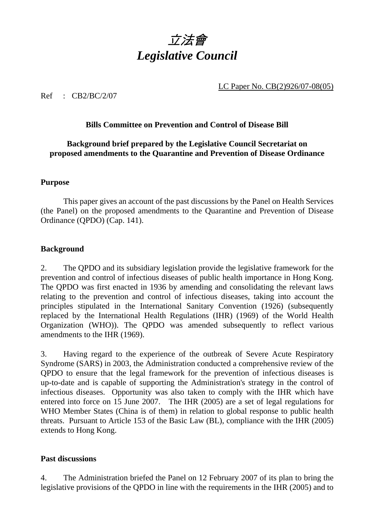

LC Paper No. CB(2)926/07-08(05)

Ref : CB2/BC/2/07

# **Bills Committee on Prevention and Control of Disease Bill**

# **Background brief prepared by the Legislative Council Secretariat on proposed amendments to the Quarantine and Prevention of Disease Ordinance**

### **Purpose**

 This paper gives an account of the past discussions by the Panel on Health Services (the Panel) on the proposed amendments to the Quarantine and Prevention of Disease Ordinance (QPDO) (Cap. 141).

## **Background**

2. The QPDO and its subsidiary legislation provide the legislative framework for the prevention and control of infectious diseases of public health importance in Hong Kong. The QPDO was first enacted in 1936 by amending and consolidating the relevant laws relating to the prevention and control of infectious diseases, taking into account the principles stipulated in the International Sanitary Convention (1926) (subsequently replaced by the International Health Regulations (IHR) (1969) of the World Health Organization (WHO)). The QPDO was amended subsequently to reflect various amendments to the IHR (1969).

3. Having regard to the experience of the outbreak of Severe Acute Respiratory Syndrome (SARS) in 2003, the Administration conducted a comprehensive review of the QPDO to ensure that the legal framework for the prevention of infectious diseases is up-to-date and is capable of supporting the Administration's strategy in the control of infectious diseases. Opportunity was also taken to comply with the IHR which have entered into force on 15 June 2007. The IHR (2005) are a set of legal regulations for WHO Member States (China is of them) in relation to global response to public health threats. Pursuant to Article 153 of the Basic Law (BL), compliance with the IHR (2005) extends to Hong Kong.

## **Past discussions**

4. The Administration briefed the Panel on 12 February 2007 of its plan to bring the legislative provisions of the QPDO in line with the requirements in the IHR (2005) and to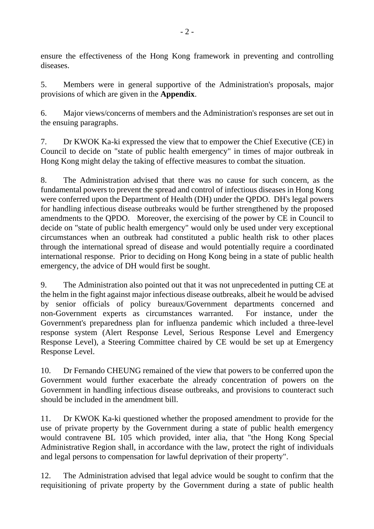ensure the effectiveness of the Hong Kong framework in preventing and controlling diseases.

5. Members were in general supportive of the Administration's proposals, major provisions of which are given in the **Appendix**.

6. Major views/concerns of members and the Administration's responses are set out in the ensuing paragraphs.

7. Dr KWOK Ka-ki expressed the view that to empower the Chief Executive (CE) in Council to decide on "state of public health emergency" in times of major outbreak in Hong Kong might delay the taking of effective measures to combat the situation.

8. The Administration advised that there was no cause for such concern, as the fundamental powers to prevent the spread and control of infectious diseases in Hong Kong were conferred upon the Department of Health (DH) under the QPDO. DH's legal powers for handling infectious disease outbreaks would be further strengthened by the proposed amendments to the QPDO. Moreover, the exercising of the power by CE in Council to decide on "state of public health emergency" would only be used under very exceptional circumstances when an outbreak had constituted a public health risk to other places through the international spread of disease and would potentially require a coordinated international response. Prior to deciding on Hong Kong being in a state of public health emergency, the advice of DH would first be sought.

9. The Administration also pointed out that it was not unprecedented in putting CE at the helm in the fight against major infectious disease outbreaks, albeit he would be advised by senior officials of policy bureaux/Government departments concerned and non-Government experts as circumstances warranted. For instance, under the Government's preparedness plan for influenza pandemic which included a three-level response system (Alert Response Level, Serious Response Level and Emergency Response Level), a Steering Committee chaired by CE would be set up at Emergency Response Level.

10. Dr Fernando CHEUNG remained of the view that powers to be conferred upon the Government would further exacerbate the already concentration of powers on the Government in handling infectious disease outbreaks, and provisions to counteract such should be included in the amendment bill.

11. Dr KWOK Ka-ki questioned whether the proposed amendment to provide for the use of private property by the Government during a state of public health emergency would contravene BL 105 which provided, inter alia, that "the Hong Kong Special Administrative Region shall, in accordance with the law, protect the right of individuals and legal persons to compensation for lawful deprivation of their property".

12. The Administration advised that legal advice would be sought to confirm that the requisitioning of private property by the Government during a state of public health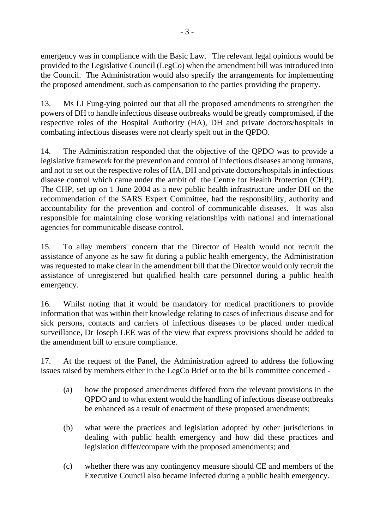emergency was in compliance with the Basic Law. The relevant legal opinions would be provided to the Legislative Council (LegCo) when the amendment bill was introduced into the Council. The Administration would also specify the arrangements for implementing the proposed amendment, such as compensation to the parties providing the property.

13. Ms LI Fung-ying pointed out that all the proposed amendments to strengthen the powers of DH to handle infectious disease outbreaks would be greatly compromised, if the respective roles of the Hospital Authority (HA), DH and private doctors/hospitals in combating infectious diseases were not clearly spelt out in the QPDO.

14. The Administration responded that the objective of the QPDO was to provide a legislative framework for the prevention and control of infectious diseases among humans, and not to set out the respective roles of HA, DH and private doctors/hospitals in infectious disease control which came under the ambit of the Centre for Health Protection (CHP). The CHP, set up on 1 June 2004 as a new public health infrastructure under DH on the recommendation of the SARS Expert Committee, had the responsibility, authority and accountability for the prevention and control of communicable diseases. It was also responsible for maintaining close working relationships with national and international agencies for communicable disease control.

15. To allay members' concern that the Director of Health would not recruit the assistance of anyone as he saw fit during a public health emergency, the Administration was requested to make clear in the amendment bill that the Director would only recruit the assistance of unregistered but qualified health care personnel during a public health emergency.

16. Whilst noting that it would be mandatory for medical practitioners to provide information that was within their knowledge relating to cases of infectious disease and for sick persons, contacts and carriers of infectious diseases to be placed under medical surveillance, Dr Joseph LEE was of the view that express provisions should be added to the amendment bill to ensure compliance.

17. At the request of the Panel, the Administration agreed to address the following issues raised by members either in the LegCo Brief or to the bills committee concerned -

- (a) how the proposed amendments differed from the relevant provisions in the QPDO and to what extent would the handling of infectious disease outbreaks be enhanced as a result of enactment of these proposed amendments;
- (b) what were the practices and legislation adopted by other jurisdictions in dealing with public health emergency and how did these practices and legislation differ/compare with the proposed amendments; and
- (c) whether there was any contingency measure should CE and members of the Executive Council also became infected during a public health emergency.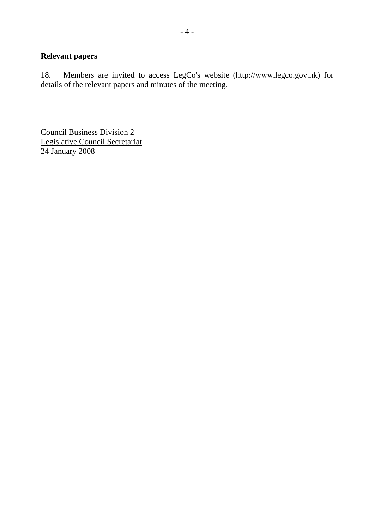# **Relevant papers**

18. Members are invited to access LegCo's website (http://www.legco.gov.hk) for details of the relevant papers and minutes of the meeting.

Council Business Division 2 Legislative Council Secretariat 24 January 2008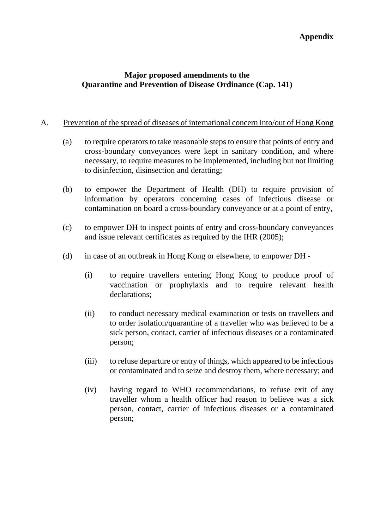## **Appendix**

# **Major proposed amendments to the Quarantine and Prevention of Disease Ordinance (Cap. 141)**

### A. Prevention of the spread of diseases of international concern into/out of Hong Kong

- (a) to require operators to take reasonable steps to ensure that points of entry and cross-boundary conveyances were kept in sanitary condition, and where necessary, to require measures to be implemented, including but not limiting to disinfection, disinsection and deratting;
- (b) to empower the Department of Health (DH) to require provision of information by operators concerning cases of infectious disease or contamination on board a cross-boundary conveyance or at a point of entry,
- (c) to empower DH to inspect points of entry and cross-boundary conveyances and issue relevant certificates as required by the IHR (2005);
- (d) in case of an outbreak in Hong Kong or elsewhere, to empower DH
	- (i) to require travellers entering Hong Kong to produce proof of vaccination or prophylaxis and to require relevant health declarations;
	- (ii) to conduct necessary medical examination or tests on travellers and to order isolation/quarantine of a traveller who was believed to be a sick person, contact, carrier of infectious diseases or a contaminated person;
	- (iii) to refuse departure or entry of things, which appeared to be infectious or contaminated and to seize and destroy them, where necessary; and
	- (iv) having regard to WHO recommendations, to refuse exit of any traveller whom a health officer had reason to believe was a sick person, contact, carrier of infectious diseases or a contaminated person;